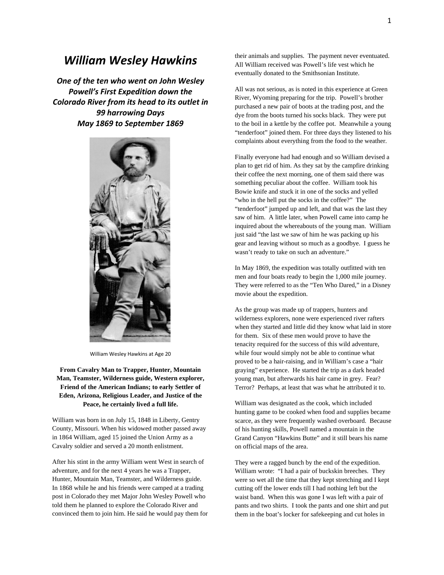## *William Wesley Hawkins*

*One of the ten who went on John Wesley Powell's First Expedition down the Colorado River from its head to its outlet in 99 harrowing Days May 1869 to September 1869*



William Wesley Hawkins at Age 20

**From Cavalry Man to Trapper, Hunter, Mountain Man, Teamster, Wilderness guide, Western explorer, Friend of the American Indians; to early Settler of Eden, Arizona, Religious Leader, and Justice of the Peace, he certainly lived a full life.**

William was born in on July 15, 1848 in Liberty, Gentry County, Missouri. When his widowed mother passed away in 1864 William, aged 15 joined the Union Army as a Cavalry soldier and served a 20 month enlistment.

After his stint in the army William went West in search of adventure, and for the next 4 years he was a Trapper, Hunter, Mountain Man, Teamster, and Wilderness guide. In 1868 while he and his friends were camped at a trading post in Colorado they met Major John Wesley Powell who told them he planned to explore the Colorado River and convinced them to join him. He said he would pay them for

their animals and supplies. The payment never eventuated. All William received was Powell's life vest which he eventually donated to the Smithsonian Institute.

All was not serious, as is noted in this experience at Green River, Wyoming preparing for the trip. Powell's brother purchased a new pair of boots at the trading post, and the dye from the boots turned his socks black. They were put to the boil in a kettle by the coffee pot. Meanwhile a young "tenderfoot" joined them. For three days they listened to his complaints about everything from the food to the weather.

Finally everyone had had enough and so William devised a plan to get rid of him. As they sat by the campfire drinking their coffee the next morning, one of them said there was something peculiar about the coffee. William took his Bowie knife and stuck it in one of the socks and yelled "who in the hell put the socks in the coffee?" The "tenderfoot" jumped up and left, and that was the last they saw of him. A little later, when Powell came into camp he inquired about the whereabouts of the young man. William just said "the last we saw of him he was packing up his gear and leaving without so much as a goodbye. I guess he wasn't ready to take on such an adventure."

In May 1869, the expedition was totally outfitted with ten men and four boats ready to begin the 1,000 mile journey. They were referred to as the "Ten Who Dared," in a Disney movie about the expedition.

As the group was made up of trappers, hunters and wilderness explorers, none were experienced river rafters when they started and little did they know what laid in store for them. Six of these men would prove to have the tenacity required for the success of this wild adventure, while four would simply not be able to continue what proved to be a hair-raising, and in William's case a "hair graying" experience. He started the trip as a dark headed young man, but afterwards his hair came in grey. Fear? Terror? Perhaps, at least that was what he attributed it to.

William was designated as the cook, which included hunting game to be cooked when food and supplies became scarce, as they were frequently washed overboard. Because of his hunting skills, Powell named a mountain in the Grand Canyon "Hawkins Butte" and it still bears his name on official maps of the area.

They were a ragged bunch by the end of the expedition. William wrote: "I had a pair of buckskin breeches. They were so wet all the time that they kept stretching and I kept cutting off the lower ends till I had nothing left but the waist band. When this was gone I was left with a pair of pants and two shirts. I took the pants and one shirt and put them in the boat's locker for safekeeping and cut holes in